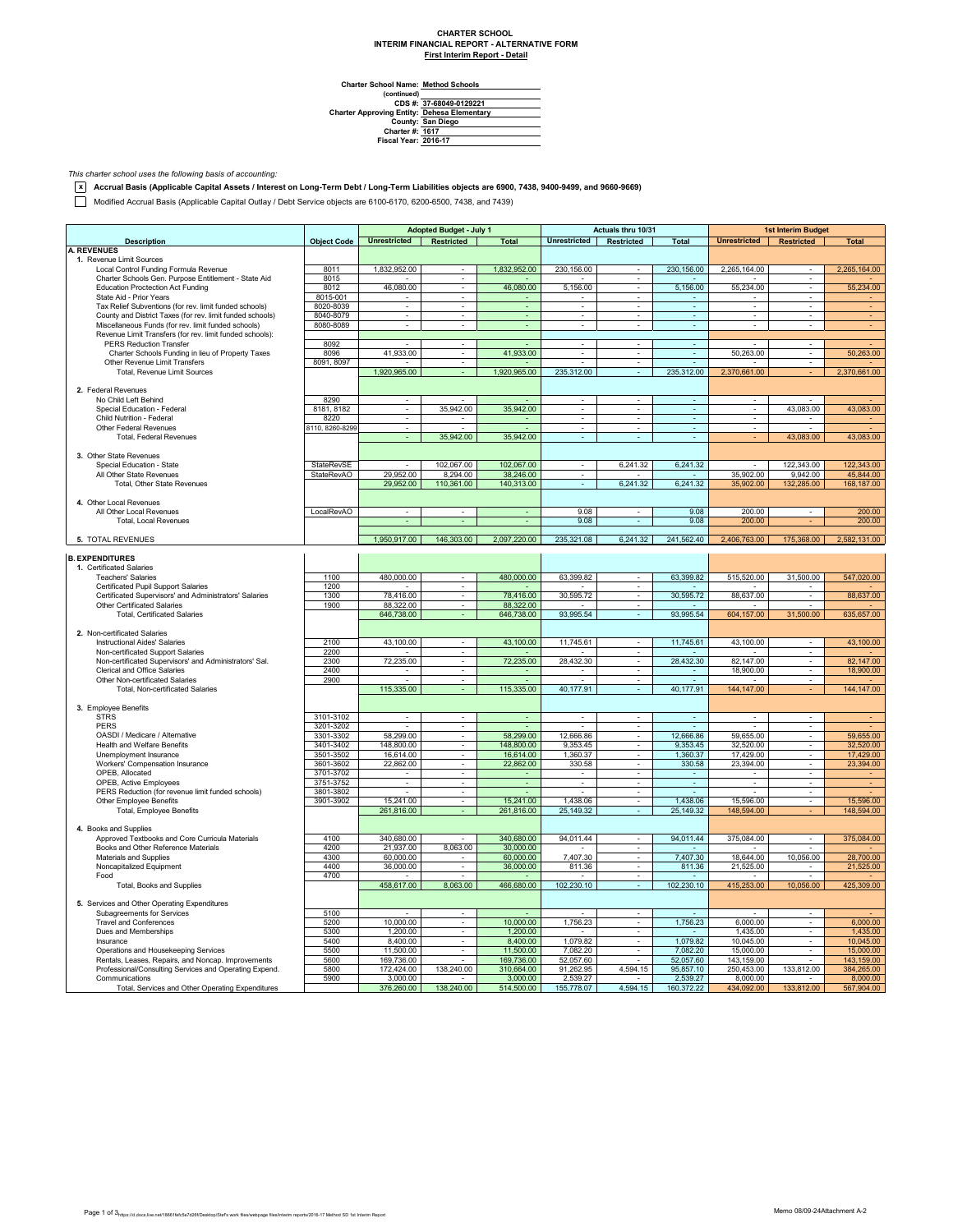## **CHARTER SCHOOL INTERIM FINANCIAL REPORT - ALTERNATIVE FORM First Interim Report - Detail**

**Method Schools**

Charter School Name<br>
(continued)<br>
CDS #:<br>
Charter Approving Entity:<br>
County:<br>
Charter #:<br>
Fiscal Year: **San Diego 1617 2016-17 37-68049-0129221 Dehesa Elementary**

*This charter school uses the following basis of accounting:*

**x Accrual Basis (Applicable Capital Assets / Interest on Long-Term Debt / Long-Term Liabilities objects are 6900, 7438, 9400-9499, and 9660-9669)**

Modified Accrual Basis (Applicable Capital Outlay / Debt Service objects are 6100-6170, 6200-6500, 7438, and 7439)

|                                                                                        |                    | <b>Adopted Budget - July 1</b> |                                                         | Actuals thru 10/31       |                                      |                                  | 1st Interim Budget       |                          |                                |                         |
|----------------------------------------------------------------------------------------|--------------------|--------------------------------|---------------------------------------------------------|--------------------------|--------------------------------------|----------------------------------|--------------------------|--------------------------|--------------------------------|-------------------------|
| <b>Description</b>                                                                     | <b>Object Code</b> | <b>Unrestricted</b>            | <b>Restricted</b>                                       | <b>Total</b>             | <b>Unrestricted</b>                  | Restricted                       | <b>Total</b>             | <b>Unrestricted</b>      | <b>Restricted</b>              | <b>Total</b>            |
| <b>A. REVENUES</b>                                                                     |                    |                                |                                                         |                          |                                      |                                  |                          |                          |                                |                         |
| 1. Revenue Limit Sources                                                               |                    |                                |                                                         |                          |                                      |                                  |                          |                          |                                |                         |
| Local Control Funding Formula Revenue                                                  | 8011               | 1,832,952.00                   | $\sim$                                                  | 1,832,952.00             | 230,156.00                           | $\sim$                           | 230, 156.00              | 2,265,164.00             | $\overline{\phantom{a}}$       | 2,265,164.00            |
| Charter Schools Gen. Purpose Entitlement - State Aid                                   | 8015               |                                | $\sim$                                                  |                          |                                      | $\sim$                           |                          |                          | $\sim$                         |                         |
| <b>Education Proctection Act Funding</b><br>State Aid - Prior Years                    | 8012<br>8015-001   | 46,080.00<br>$\mathbf{r}$      | ÷                                                       | 46,080.00<br>$\sim$      | 5,156.00<br>$\overline{\phantom{a}}$ | ÷                                | 5,156.00                 | 55,234.00                | ÷                              | 55,234.00               |
| Tax Relief Subventions (for rev. limit funded schools)                                 | 8020-8039          | $\mathcal{L}_{\mathcal{A}}$    | $\sim$                                                  | $\omega$                 | $\omega$                             | $\omega$                         | $\omega$                 | $\blacksquare$           | $\overline{\phantom{a}}$       |                         |
| County and District Taxes (for rev. limit funded schools)                              | 8040-8079          | $\sim$                         | $\sim$                                                  | $\sim$                   | $\sim$                               | $\sim$                           | $\omega$                 | $\sim$                   | $\overline{\phantom{a}}$       |                         |
| Miscellaneous Funds (for rev. limit funded schools)                                    | 8080-8089          | $\overline{\phantom{a}}$       | $\sim$                                                  | $\overline{\phantom{a}}$ | $\overline{\phantom{a}}$             | $\sim$                           | $\overline{\phantom{a}}$ | $\sim$                   | $\sim$                         |                         |
| Revenue Limit Transfers (for rev. limit funded schools):                               |                    |                                |                                                         |                          |                                      |                                  |                          |                          |                                |                         |
| PERS Reduction Transfer                                                                | 8092               |                                | $\overline{\phantom{a}}$                                |                          | $\blacksquare$                       | $\blacksquare$                   | ÷                        |                          | $\overline{\phantom{a}}$       |                         |
| Charter Schools Funding in lieu of Property Taxes                                      | 8096               | 41.933.00                      | $\sim$                                                  | 41.933.00                | ÷.                                   | $\sim$                           | ÷.                       | 50,263.00                | ÷                              | 50,263.00               |
| Other Revenue Limit Transfers                                                          | 8091, 8097         |                                |                                                         |                          |                                      | $\overline{\phantom{a}}$         |                          |                          |                                |                         |
| Total, Revenue Limit Sources                                                           |                    | 1,920,965.00                   | ÷                                                       | 1,920,965.00             | 235,312.00                           | $\omega$                         | 235,312.00               | 2,370,661.00             |                                | 2,370,661.00            |
|                                                                                        |                    |                                |                                                         |                          |                                      |                                  |                          |                          |                                |                         |
| 2. Federal Revenues                                                                    |                    |                                |                                                         |                          |                                      |                                  |                          |                          |                                |                         |
| No Child Left Behind                                                                   | 8290               |                                |                                                         |                          |                                      |                                  |                          |                          |                                |                         |
| Special Education - Federal                                                            | 8181, 8182         | ÷                              | 35,942.00                                               | 35,942.00                | $\mathcal{L}_{\mathcal{A}}$          | $\sim$                           | ÷.                       | $\sim$                   | 43,083.00                      | 43,083.00               |
| Child Nutrition - Federal                                                              | 8220               | $\blacksquare$                 | $\overline{\phantom{a}}$                                |                          | $\blacksquare$                       | $\overline{\phantom{a}}$         | $\omega$                 | $\blacksquare$           |                                |                         |
| Other Federal Revenues                                                                 | 8110, 8260-8299    | $\sim$                         |                                                         | ÷                        | $\sim$                               | $\alpha$                         | ×.                       |                          |                                |                         |
| <b>Total, Federal Revenues</b>                                                         |                    |                                | 35,942.00                                               | 35,942.00                |                                      |                                  |                          |                          | 43,083.00                      | 43,083.00               |
|                                                                                        |                    |                                |                                                         |                          |                                      |                                  |                          |                          |                                |                         |
| 3. Other State Revenues                                                                |                    |                                |                                                         |                          |                                      |                                  |                          |                          |                                |                         |
| Special Education - State                                                              | StateRevSE         |                                | 102,067.00                                              | 102,067.00               | $\sim$                               | 6,241.32                         | 6,241.32                 |                          | 122,343.00                     | 122,343.00              |
| All Other State Revenues<br>Total, Other State Revenues                                | StateRevAO         | 29,952.00<br>29,952.00         | 8,294.00<br>110,361.00                                  | 38,246.00<br>140,313.00  | $\overline{\phantom{a}}$             | 6,241.32                         | 6,241.32                 | 35,902.00<br>35,902.00   | 9,942.00<br>132,285.00         | 45,844.00<br>168,187.00 |
|                                                                                        |                    |                                |                                                         |                          |                                      |                                  |                          |                          |                                |                         |
| 4. Other Local Revenues                                                                |                    |                                |                                                         |                          |                                      |                                  |                          |                          |                                |                         |
| All Other Local Revenues                                                               | LocalRevAO         |                                |                                                         |                          | 9.08                                 |                                  | 9.08                     | 200.00                   |                                | 200.00                  |
| Total, Local Revenues                                                                  |                    |                                |                                                         |                          | 9.08                                 | ÷                                | 9.08                     | 200.00                   |                                | 200.00                  |
|                                                                                        |                    |                                |                                                         |                          |                                      |                                  |                          |                          |                                |                         |
| 5. TOTAL REVENUES                                                                      |                    | 1.950.917.00                   | 146,303.00                                              | 2,097,220.00             | 235,321.08                           | 6,241.32                         | 241,562.40               | 2,406,763.00             | 175,368.00                     | 2,582,131.00            |
|                                                                                        |                    |                                |                                                         |                          |                                      |                                  |                          |                          |                                |                         |
| <b>B. EXPENDITURES</b>                                                                 |                    |                                |                                                         |                          |                                      |                                  |                          |                          |                                |                         |
| 1. Certificated Salaries                                                               |                    |                                |                                                         |                          |                                      |                                  |                          |                          |                                |                         |
| <b>Teachers' Salaries</b>                                                              | 1100               | 480,000.00                     | $\sim$                                                  | 480,000.00               | 63,399.82                            | $\overline{\phantom{a}}$         | 63,399.82                | 515,520.00               | 31,500.00                      | 547,020.00              |
| Certificated Pupil Support Salaries                                                    | 1200               |                                | $\overline{\phantom{a}}$                                |                          |                                      | $\overline{\phantom{a}}$         |                          |                          |                                |                         |
| Certificated Supervisors' and Administrators' Salaries                                 | 1300               | 78,416.00                      | $\omega$                                                | 78,416.00                | 30,595.72                            | $\omega$                         | 30,595.72                | 88,637.00                | ä,                             | 88,637.00               |
| <b>Other Certificated Salaries</b>                                                     | 1900               | 88,322.00                      | $\mathbf{r}$                                            | 88,322.00                |                                      | ÷                                |                          |                          |                                |                         |
| <b>Total, Certificated Salaries</b>                                                    |                    | 646,738.00                     | ä,                                                      | 646,738.00               | 93,995.54                            | ÷.                               | 93,995.54                | 604,157.00               | 31,500.00                      | 635,657.00              |
|                                                                                        |                    |                                |                                                         |                          |                                      |                                  |                          |                          |                                |                         |
| 2. Non-certificated Salaries                                                           |                    |                                |                                                         |                          |                                      |                                  |                          |                          |                                |                         |
| <b>Instructional Aides' Salaries</b>                                                   | 2100               | 43,100.00                      |                                                         | 43,100.00                | 11,745.61                            |                                  | 11,745.61                | 43,100.00                |                                | 43,100.00               |
| Non-certificated Support Salaries                                                      | 2200               | 72,235.00                      | $\sim$                                                  |                          |                                      | $\alpha$                         | 28,432.30                |                          | ÷                              | 82,147.00               |
| Non-certificated Supervisors' and Administrators' Sal.<br>Clerical and Office Salaries | 2300<br>2400       |                                | $\overline{\phantom{a}}$<br>$\mathcal{L}_{\mathcal{A}}$ | 72,235.00<br>$\Box$      | 28,432.30                            | $\blacksquare$<br>$\blacksquare$ |                          | 82,147.00<br>18,900.00   | $\overline{\phantom{a}}$<br>÷, | 18,900.00               |
| Other Non-certificated Salaries                                                        | 2900               | ٠                              | $\overline{\phantom{a}}$                                | ٠                        |                                      | $\sim$                           |                          |                          | $\sim$                         |                         |
| Total, Non-certificated Salaries                                                       |                    | 115,335.00                     |                                                         | 115,335.00               | 40,177.91                            |                                  | 40,177.91                | 144,147.00               |                                | 144, 147.00             |
|                                                                                        |                    |                                |                                                         |                          |                                      |                                  |                          |                          |                                |                         |
| 3. Employee Benefits                                                                   |                    |                                |                                                         |                          |                                      |                                  |                          |                          |                                |                         |
| <b>STRS</b>                                                                            | 3101-3102          | $\sim$                         | $\sim$                                                  | ÷                        | $\sim$                               | $\sim$                           | $\omega$                 | $\blacksquare$           | $\overline{\phantom{a}}$       |                         |
| PERS                                                                                   | 3201-3202          | $\alpha$                       | $\overline{\phantom{a}}$                                | $\sim$                   | ×.                                   | $\overline{\phantom{a}}$         | $\sim$                   | $\overline{a}$           | $\sim$                         |                         |
| OASDI / Medicare / Alternative                                                         | 3301-3302          | 58,299.00                      | $\overline{\phantom{a}}$                                | 58,299.00                | 12,666.86                            | $\overline{\phantom{a}}$         | 12,666.86                | 59,655.00                | $\overline{\phantom{a}}$       | 59,655.00               |
| Health and Welfare Benefits                                                            | 3401-3402          | 148,800.00                     | $\blacksquare$                                          | 148,800.00               | 9,353.45                             | $\overline{\phantom{a}}$         | 9,353.45                 | 32,520.00                | ÷                              | 32,520.00               |
| Unemployment Insurance                                                                 | 3501-3502          | 16,614.00                      | ÷                                                       | 16,614.00                | 1,360.37                             | $\overline{\phantom{a}}$         | 1,360.37                 | 17,429.00                | ÷.                             | 17,429.00               |
| Workers' Compensation Insurance                                                        | 3601-3602          | 22,862.00                      | ä,                                                      | 22,862.00                | 330.58                               | $\sim$                           | 330.58                   | 23,394.00                | $\overline{\phantom{a}}$       | 23,394.00               |
| OPEB, Allocated                                                                        | 3701-3702          |                                | $\blacksquare$                                          | $\blacksquare$           | $\overline{\phantom{a}}$             | $\overline{\phantom{a}}$         | $\overline{\phantom{a}}$ |                          | $\overline{\phantom{a}}$       |                         |
| OPEB, Active Employees                                                                 | 3751-3752          | $\sim$                         | $\sim$                                                  | ÷                        | $\sim$                               | $\sim$                           | $\sim$                   | $\overline{\phantom{a}}$ | $\sim$                         |                         |
| PERS Reduction (for revenue limit funded schools)                                      | 3801-3802          |                                |                                                         |                          |                                      |                                  |                          |                          |                                |                         |
| Other Employee Benefits                                                                | 3901-3902          | 15,241.00                      | ÷                                                       | 15,241.00                | 1,438.06                             | $\omega$                         | 1,438.06                 | 15,596.00                | ×                              | 15,596.00               |
| Total, Employee Benefits                                                               |                    | 261,816.00                     |                                                         | 261,816.00               | 25,149.32                            | ÷.                               | 25,149.32                | 148,594.00               |                                | 148,594.00              |
|                                                                                        |                    |                                |                                                         |                          |                                      |                                  |                          |                          |                                |                         |
| 4. Books and Supplies<br>Approved Textbooks and Core Curricula Materials               | 4100               | 340,680.00                     |                                                         | 340,680.00               | 94,011.44                            | $\overline{\phantom{a}}$         | 94,011.44                | 375,084.00               |                                | 375,084.00              |
| Books and Other Reference Materials                                                    | 4200               | 21,937.00                      | 8,063.00                                                |                          |                                      | $\overline{\phantom{a}}$         |                          |                          | $\overline{\phantom{a}}$       |                         |
| Materials and Supplies                                                                 | 4300               | 60,000.00                      |                                                         | 30,000.00<br>60,000,00   | 7.407.30                             | $\sim$                           | 7.407.30                 | 18,644.00                | 10.056.00                      | 28,700.00               |
| Noncapitalized Equipment                                                               | 4400               | 36,000.00                      | $\mathcal{L}_{\mathcal{A}}$                             | 36,000.00                | 811.36                               | $\sim$                           | 811.36                   | 21,525.00                |                                | 21,525.00               |
| Food                                                                                   | 4700               |                                | $\sim$                                                  |                          | $\sim$                               | $\overline{\phantom{a}}$         |                          |                          | $\sim$                         |                         |
| Total, Books and Supplies                                                              |                    | 458,617.00                     | 8,063.00                                                | 466,680.00               | 102,230.10                           |                                  | 102,230.10               | 415,253.00               | 10,056.00                      | 425,309.00              |
|                                                                                        |                    |                                |                                                         |                          |                                      |                                  |                          |                          |                                |                         |
| 5. Services and Other Operating Expenditures                                           |                    |                                |                                                         |                          |                                      |                                  |                          |                          |                                |                         |
| Subagreements for Services                                                             | 5100               |                                | $\mathcal{L}_{\mathcal{A}}$                             |                          | ÷,                                   | $\omega$                         |                          |                          | $\overline{\phantom{a}}$       |                         |
| <b>Travel and Conferences</b>                                                          | 5200               | 10,000.00                      | $\blacksquare$                                          | 10,000.00                | 1,756.23                             | $\overline{\phantom{a}}$         | 1,756.23                 | 6,000.00                 | $\overline{\phantom{a}}$       | 6,000.00                |
| Dues and Memberships                                                                   | 5300               | 1.200.00                       | $\sim$                                                  | 1,200,00                 |                                      | $\sim$                           |                          | 1,435.00                 | $\sim$                         | 1.435.00                |
| Insurance                                                                              | 5400               | 8,400.00                       |                                                         | 8,400.00                 | 1,079.82                             |                                  | 1,079.82                 | 10,045.00                |                                | 10,045.00               |
| Operations and Housekeeping Services                                                   | 5500               | 11,500.00                      | ÷.                                                      | 11,500.00                | 7,082.20                             | ÷                                | 7,082.20                 | 15,000.00                | ÷.                             | 15,000.00               |
| Rentals, Leases, Repairs, and Noncap. Improvements                                     | 5600               | 169,736.00                     |                                                         | 169,736.00               | 52,057.60                            |                                  | 52,057.60                | 143,159.00               |                                | 143,159.00              |
| Professional/Consulting Services and Operating Expend.                                 | 5800               | 172,424.00                     | 138,240.00                                              | 310,664.00               | 91,262.95                            | 4,594.15                         | 95,857.10                | 250,453.00               | 133,812.00                     | 384,265.00              |
| Communications                                                                         | 5900               | 3,000.00                       |                                                         | 3,000.00                 | 2,539.27                             |                                  | 2,539.27                 | 8,000.00                 |                                | 8,000.00                |
| Total, Services and Other Operating Expenditures                                       |                    | 376,260.00                     | 138,240.00                                              | 514,500.00               | 155,778.07                           | 4,594.15                         | 160,372.22               | 434,092.00               | 133,812.00                     | 567,904.00              |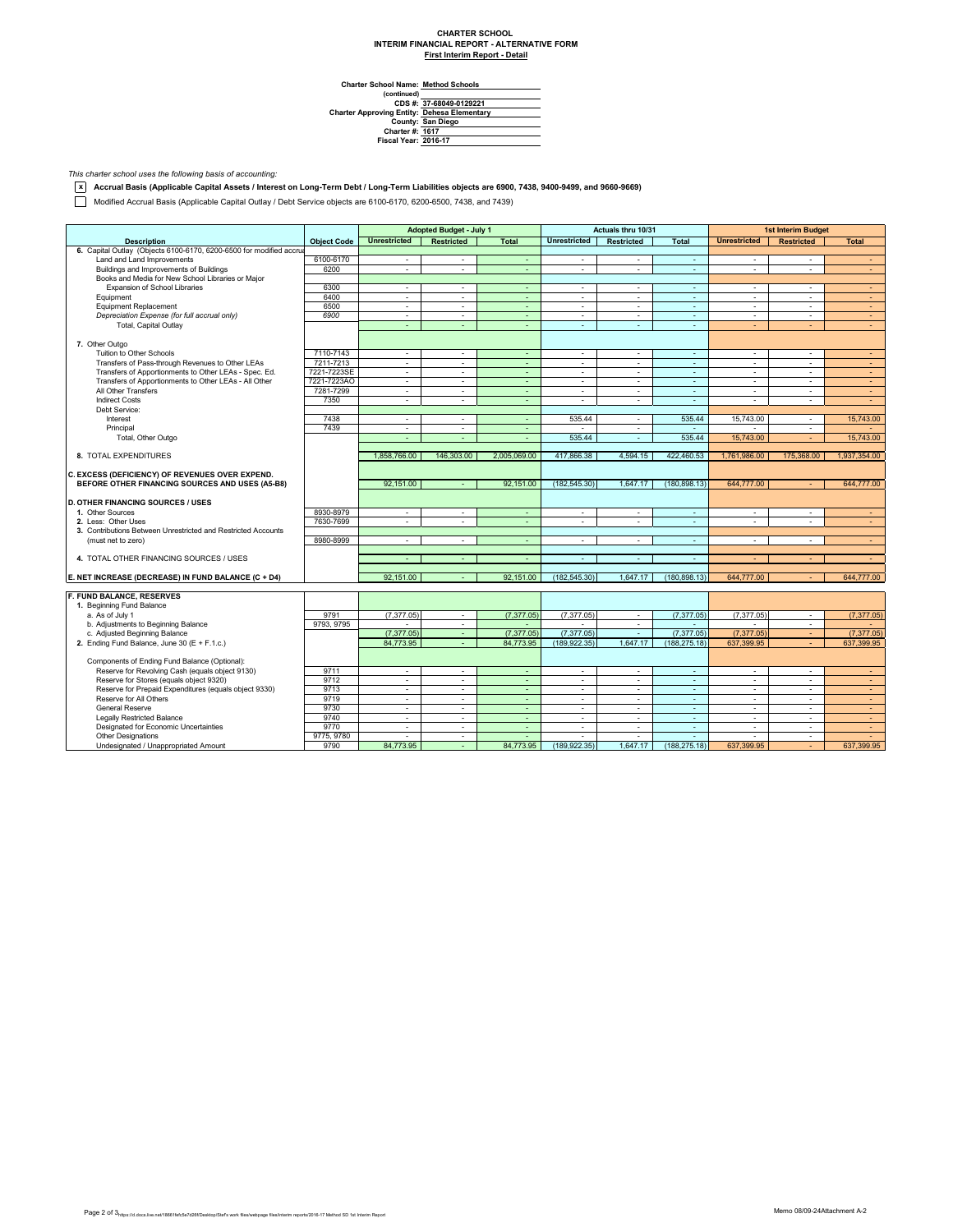## **CHARTER SCHOOL INTERIM FINANCIAL REPORT - ALTERNATIVE FORM First Interim Report - Detail**

**Method Schools**

Charter School Name<br>
(continued)<br>
CDS #:<br>
Charter Approving Entity:<br>
County:<br>
Charter #:<br>
Fiscal Year: **San Diego 1617 2016-17 37-68049-0129221 Dehesa Elementary**

*This charter school uses the following basis of accounting:*

**x Accrual Basis (Applicable Capital Assets / Interest on Long-Term Debt / Long-Term Liabilities objects are 6900, 7438, 9400-9499, and 9660-9669)**

Modified Accrual Basis (Applicable Capital Outlay / Debt Service objects are 6100-6170, 6200-6500, 7438, and 7439)

|                                                                     |                    | <b>Adopted Budget - July 1</b> |                          | Actuals thru 10/31 |                          |                          | <b>1st Interim Budget</b> |                          |                   |                          |
|---------------------------------------------------------------------|--------------------|--------------------------------|--------------------------|--------------------|--------------------------|--------------------------|---------------------------|--------------------------|-------------------|--------------------------|
| <b>Description</b>                                                  | <b>Object Code</b> | <b>Unrestricted</b>            | <b>Restricted</b>        | <b>Total</b>       | <b>Unrestricted</b>      | <b>Restricted</b>        | <b>Total</b>              | <b>Unrestricted</b>      | <b>Restricted</b> | <b>Total</b>             |
| 6. Capital Outlay (Objects 6100-6170, 6200-6500 for modified accrua |                    |                                |                          |                    |                          |                          |                           |                          |                   |                          |
| Land and Land Improvements                                          | 6100-6170          | ×.                             | $\sim$                   | $\sim$             | $\sim$                   | $\sim$                   | $\sim$                    | $\sim$                   | $\mathbf{r}$      | $\sim$                   |
| Buildings and Improvements of Buildings                             | 6200               | $\sim$                         | $\overline{\phantom{a}}$ | ÷.                 | $\blacksquare$           | $\overline{\phantom{a}}$ | $\omega$                  | $\sim$                   | ÷.                | $\sim$                   |
| Books and Media for New School Libraries or Major                   |                    |                                |                          |                    |                          |                          |                           |                          |                   |                          |
| Expansion of School Libraries                                       | 6300               | ×.                             | $\sim$                   | ÷.                 | $\sim$                   | ×.                       | $\sim$                    | $\sim$                   | ÷                 | $\sim$                   |
| Equipment                                                           | 6400               | $\sim$                         | $\sim$                   | ÷.                 | $\blacksquare$           | $\sim$                   | $\sim$                    | $\blacksquare$           | ٠                 | $\sim$                   |
| <b>Equipment Replacement</b>                                        | 6500               | $\blacksquare$                 | $\sim$                   | $\sim$             | $\sim$                   | $\sim$                   | $\sim$                    | $\sim$                   | $\sim$            | $\sim$                   |
| Depreciation Expense (for full accrual only)                        | 6900               | ÷                              | $\sim$                   | ٠                  | $\sim$                   | $\sim$                   | $\sim$                    | $\sim$                   | ٠                 | $\sim$                   |
| Total, Capital Outlay                                               |                    | ÷                              |                          | ÷.                 | $\overline{a}$           | $\sim$                   | ×.                        | ٠                        |                   | $\sim$                   |
|                                                                     |                    |                                |                          |                    |                          |                          |                           |                          |                   |                          |
| 7. Other Outgo                                                      |                    |                                |                          |                    |                          |                          |                           |                          |                   |                          |
| Tuition to Other Schools                                            | 7110-7143          | ٠                              | $\sim$                   | $\blacksquare$     | $\blacksquare$           | $\sim$                   | $\sim$                    | $\sim$                   | ÷,                | $\sim$                   |
| Transfers of Pass-through Revenues to Other LEAs                    | 7211-7213          | $\sim$                         | $\sim$                   | $\sim$             | $\sim$                   | $\sim$                   | $\sim$                    | $\sim$                   | ÷                 | $\sim$                   |
| Transfers of Apportionments to Other LEAs - Spec. Ed.               | 7221-7223SE        | ×.                             | $\sim$                   | $\sim$             | $\sim$                   | $\sim$                   | $\sim$                    | $\overline{\phantom{a}}$ | з.                | $\sim$                   |
| Transfers of Apportionments to Other LEAs - All Other               | 7221-7223AO        | ×.                             | $\sim$                   | $\blacksquare$     | ä,                       | $\sim$                   | $\omega$                  | $\sim$                   | ×,                | $\sim$                   |
| All Other Transfers                                                 | 7281-7299          | ÷                              | $\sim$                   | ÷.                 | ÷.                       | ÷                        | $\sim$                    | $\sim$                   | $\sim$            | $\sim$                   |
| <b>Indirect Costs</b>                                               | 7350               | $\sim$                         | $\sim$                   | $\sim$             | $\overline{a}$           | $\sim$                   | $\sim$                    | $\sim$                   | ٠                 | $\overline{\phantom{a}}$ |
| Debt Service:                                                       |                    |                                |                          |                    |                          |                          |                           |                          |                   |                          |
| Interest                                                            | 7438               | $\sim$                         | $\sim$                   | $\sim$             | 535.44                   | $\sim$                   | 535.44                    | 15.743.00                | $\sim$            | 15,743.00                |
| Principal                                                           | 7439               | $\sim$                         | $\sim$                   | $\sim$             |                          | $\sim$                   | $\sim$                    |                          | ٠                 |                          |
| Total, Other Outgo                                                  |                    | ÷                              | ÷                        | ÷.                 | 535.44                   | ÷.                       | 535.44                    | 15,743.00                | ÷                 | 15,743.00                |
|                                                                     |                    |                                |                          |                    |                          |                          |                           |                          |                   |                          |
| 8. TOTAL EXPENDITURES                                               |                    | 1.858.766.00                   | 146,303.00               | 2.005.069.00       | 417,866.38               | 4.594.15                 | 422.460.53                | 1.761.986.00             | 175,368.00        | 1.937.354.00             |
|                                                                     |                    |                                |                          |                    |                          |                          |                           |                          |                   |                          |
| C. EXCESS (DEFICIENCY) OF REVENUES OVER EXPEND.                     |                    |                                |                          |                    |                          |                          |                           |                          |                   |                          |
| BEFORE OTHER FINANCING SOURCES AND USES (A5-B8)                     |                    | 92,151.00                      |                          | 92,151.00          | (182, 545.30)            | 1,647.17                 | (180, 898.13)             | 644,777.00               |                   | 644,777.00               |
|                                                                     |                    |                                |                          |                    |                          |                          |                           |                          |                   |                          |
| <b>D. OTHER FINANCING SOURCES / USES</b>                            |                    |                                |                          |                    |                          |                          |                           |                          |                   |                          |
| 1. Other Sources                                                    | 8930-8979          | $\sim$                         | $\sim$                   | $\sim$             | $\sim$                   | $\sim$                   | $\sim$                    | $\sim$                   | ÷                 | $\sim$                   |
| 2. Less: Other Uses                                                 | 7630-7699          | $\blacksquare$                 | $\sim$                   | ÷                  | ÷                        | $\overline{\phantom{a}}$ | $\mathcal{L}$             | ÷.                       | ä,                | $\sim$                   |
| 3. Contributions Between Unrestricted and Restricted Accounts       |                    |                                |                          |                    |                          |                          |                           |                          |                   |                          |
| (must net to zero)                                                  | 8980-8999          | ÷                              | $\sim$                   | $\sim$             | ÷.                       | $\sim$                   | $\sim$                    | $\sim$                   | $\sim$            | $\sim$                   |
|                                                                     |                    |                                |                          |                    |                          |                          |                           |                          |                   |                          |
| 4. TOTAL OTHER FINANCING SOURCES / USES                             |                    | $\overline{\phantom{a}}$       | $\sim$                   | $\sim$             | $\sim$                   | $\sim$                   | $\sim$                    |                          | ÷                 | $\sim$                   |
|                                                                     |                    |                                |                          |                    |                          |                          |                           |                          |                   |                          |
| E. NET INCREASE (DECREASE) IN FUND BALANCE (C + D4)                 |                    | 92,151.00                      |                          | 92.151.00          | (182.545.30)             | 1.647.17                 | (180, 898.13)             | 644,777,00               |                   | 644,777,00               |
|                                                                     |                    |                                |                          |                    |                          |                          |                           |                          |                   |                          |
| F. FUND BALANCE, RESERVES                                           |                    |                                |                          |                    |                          |                          |                           |                          |                   |                          |
| 1. Beginning Fund Balance                                           |                    |                                |                          |                    |                          |                          |                           |                          |                   |                          |
| a. As of July 1                                                     | 9791               | (7, 377.05)                    | $\sim$                   | (7, 377.05)        | (7.377.05)               | $\sim$                   | (7, 377.05)               | (7, 377.05)              | $\sim$            | (7, 377.05)              |
| b. Adjustments to Beginning Balance                                 | 9793, 9795         |                                | $\sim$                   |                    |                          | ÷                        |                           |                          | ä,                |                          |
| c. Adjusted Beginning Balance                                       |                    | (7,377.05)                     | $\sim$                   | (7, 377.05)        | (7, 377.05)              | $\sim$                   | (7, 377.05)               | (7, 377.05)              | $\sim$            | (7, 377.05)              |
| 2. Ending Fund Balance, June 30 (E + F.1.c.)                        |                    | 84.773.95                      | $\sim$                   | 84,773.95          | (189.922.35)             | 1.647.17                 | (188.275.18)              | 637.399.95               |                   | 637.399.95               |
|                                                                     |                    |                                |                          |                    |                          |                          |                           |                          |                   |                          |
| Components of Ending Fund Balance (Optional):                       |                    |                                |                          |                    |                          |                          |                           |                          |                   |                          |
| Reserve for Revolving Cash (equals object 9130)                     | 9711               | ×.                             | $\sim$                   | $\omega$           | $\sim$                   | ×.                       | $\sim$                    | $\sim$                   | ÷                 | $\sim$                   |
| Reserve for Stores (equals object 9320)                             | 9712               | $\sim$                         | $\overline{\phantom{a}}$ | ÷                  | $\overline{\phantom{a}}$ | $\overline{\phantom{a}}$ | $\overline{\phantom{a}}$  | $\sim$                   | ÷.                | ÷                        |
| Reserve for Prepaid Expenditures (equals object 9330)               | 9713               | $\overline{\phantom{a}}$       | $\sim$                   | $\sim$             | $\overline{\phantom{a}}$ | $\overline{\phantom{a}}$ | $\sim$                    | $\sim$                   | $\sim$            | $\sim$                   |
| Reserve for All Others                                              | 9719               | ×.                             | $\sim$                   | $\sim$             | $\sim$                   | $\sim$                   | $\sim$                    | $\sim$                   | $\sim$            | $\sim$                   |
| <b>General Reserve</b>                                              | 9730               | $\sim$                         | $\sim$                   | ä,                 | $\overline{\phantom{a}}$ | $\sim$                   | $\sim$                    | $\sim$                   | ٠                 | $\sim$                   |
| <b>Legally Restricted Balance</b>                                   | 9740               | $\sim$                         | $\sim$                   | $\sim$             | $\sim$                   | $\sim$                   | $\sim$                    | $\sim$                   | $\sim$            | $\sim$                   |
| Designated for Economic Uncertainties                               | 9770               | $\sim$                         | $\sim$                   | $\sim$             | $\overline{\phantom{a}}$ | $\sim$                   | $\sim$                    | $\overline{\phantom{a}}$ | ٠                 | $\sim$                   |
| <b>Other Designations</b>                                           | 9775, 9780         | ÷.                             | $\sim$                   |                    | $\overline{a}$           |                          | $\sim$                    |                          | ÷                 |                          |
| Undesignated / Unappropriated Amount                                | 9790               | 84,773.95                      | $\sim$                   | 84,773.95          | (189, 922.35)            | 1.647.17                 | (188, 275.18)             | 637.399.95               | ÷                 | 637,399.95               |